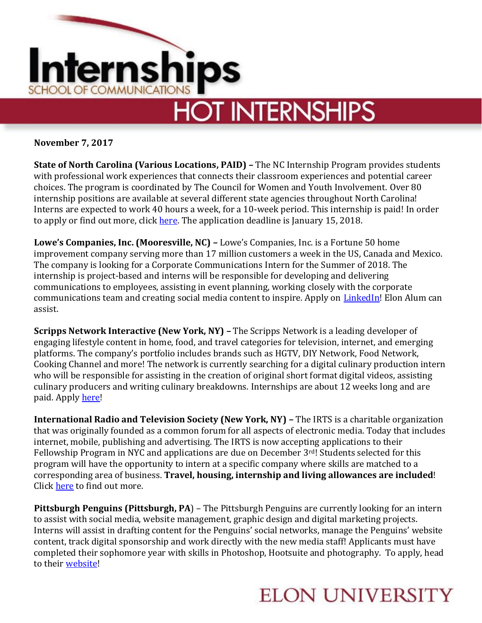

**November 7, 2017**

**State of North Carolina (Various Locations, PAID) –** The NC Internship Program provides students with professional work experiences that connects their classroom experiences and potential career choices. The program is coordinated by The Council for Women and Youth Involvement. Over 80 internship positions are available at several different state agencies throughout North Carolina! Interns are expected to work 40 hours a week, for a 10-week period. This internship is paid! In order to apply or find out more, click [here.](https://ncadmin.nc.gov/advocacy/youth-advocacy-involvement-office/state_of_north_carolina_internship_program) The application deadline is January 15, 2018.

**Lowe's Companies, Inc. (Mooresville, NC) –** Lowe's Companies, Inc. is a Fortune 50 home improvement company serving more than 17 million customers a week in the US, Canada and Mexico. The company is looking for a Corporate Communications Intern for the Summer of 2018. The internship is project-based and interns will be responsible for developing and delivering communications to employees, assisting in event planning, working closely with the corporate communications team and creating social media content to inspire. Apply on [LinkedIn!](https://www.linkedin.com/jobs/view/493221325) Elon Alum can assist.

**Scripps Network Interactive (New York, NY) –** The Scripps Network is a leading developer of engaging lifestyle content in home, food, and travel categories for television, internet, and emerging platforms. The company's portfolio includes brands such as HGTV, DIY Network, Food Network, Cooking Channel and more! The network is currently searching for a digital culinary production intern who will be responsible for assisting in the creation of original short format digital videos, assisting culinary producers and writing culinary breakdowns. Internships are about 12 weeks long and are paid. Appl[y here!](https://sni.wd5.myworkdayjobs.com/en-US/ScrippsNetworksInteractiveCareers/job/New-York-NY---Chelsea/Digital-Culinary-Production-Intern_J101994)

**International Radio and Television Society (New York, NY) –** The IRTS is a charitable organization that was originally founded as a common forum for all aspects of electronic media. Today that includes internet, mobile, publishing and advertising. The IRTS is now accepting applications to their Fellowship Program in NYC and applications are due on December 3rd! Students selected for this program will have the opportunity to intern at a specific company where skills are matched to a corresponding area of business. **Travel, housing, internship and living allowances are included**! Click [here](http://irtsfoundation.org/college-programs/summer-fellowship/) to find out more.

**Pittsburgh Penguins (Pittsburgh, PA**) – The Pittsburgh Penguins are currently looking for an intern to assist with social media, website management, graphic design and digital marketing projects. Interns will assist in drafting content for the Penguins' social networks, manage the Penguins' website content, track digital sponsorship and work directly with the new media staff! Applicants must have completed their sophomore year with skills in Photoshop, Hootsuite and photography. To apply, head to their [website!](http://hockeyjobs.nhl.com/teamwork/r.cfm?i=121100)

## **ELON UNIVERSITY**